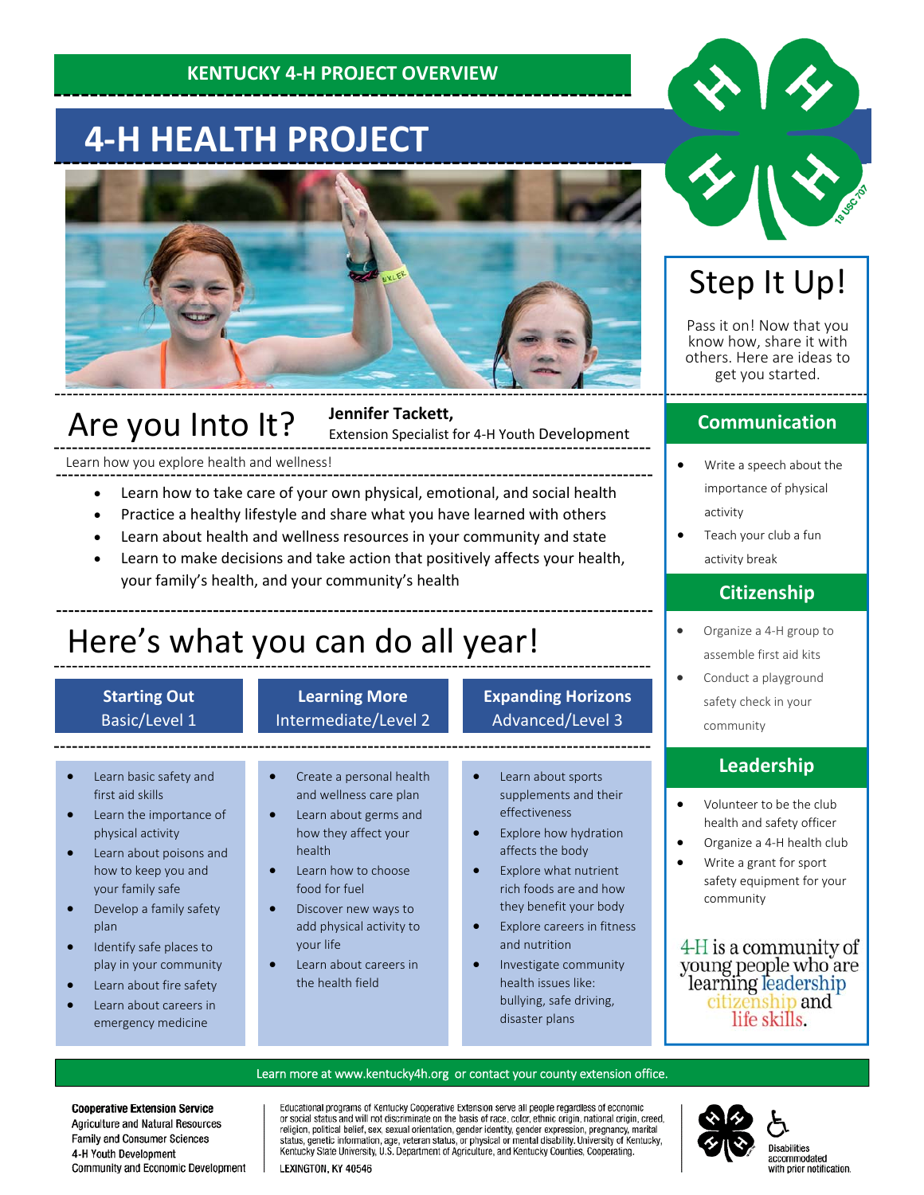### **KENTUCKY 4‐H PROJECT OVERVIEW**

# **4‐H HEALTH PROJECT**



### Are you Into It?

#### **Jennifer Tackett,**

Extension Specialist for 4‐H Youth Development

Learn how you explore health and wellness!

- Learn how to take care of your own physical, emotional, and social health
- Practice a healthy lifestyle and share what you have learned with others
- Learn about health and wellness resources in your community and state
- Learn to make decisions and take action that positively affects your health, your family's health, and your community's health

# Here's what you can do all year!

#### **Starting Out** Basic/Level 1

#### **Learning More** Intermediate/Level 2

#### **Expanding Horizons** Advanced/Level 3

- Learn basic safety and first aid skills
- Learn the importance of physical activity
- Learn about poisons and how to keep you and your family safe
- Develop a family safety plan
- **•** Identify safe places to play in your community
- Learn about fire safety
- Learn about careers in emergency medicine
- Create a personal health and wellness care plan
- Learn about germs and how they affect your health
- Learn how to choose food for fuel
- Discover new ways to add physical activity to your life
- Learn about careers in the health field
- Learn about sports supplements and their effectiveness
- Explore how hydration affects the body
- Explore what nutrient rich foods are and how they benefit your body
- Explore careers in fitness and nutrition
- Investigate community health issues like: bullying, safe driving, disaster plans



## Step It Up!

Pass it on! Now that you know how, share it with others. Here are ideas to get you started.

#### **Communication**

- Write a speech about the importance of physical activity
- Teach your club a fun activity break

#### **Citizenship**

- Organize a 4-H group to assemble first aid kits
- Conduct a playground safety check in your community

#### **Leadership**

- Volunteer to be the club health and safety officer
- Organize a 4‐H health club
- Write a grant for sport safety equipment for your community

4-H is a community of young people who are<br>learning leadership citizenship and life skills.

#### Learn more at www.kentucky4h.org or contact your county extension office.

**Cooperative Extension Service** Agriculture and Natural Resources Family and Consumer Sciences 4-H Youth Development Community and Economic Development Educational programs of Kentucky Cooperative Extension serve all people regardless of economic procedure and will not discriminate on the basis of race, color, ethnic origin, national origin, creed, religion, political belief, sex, sexual orientation, gender identity, gender expression, pregnancy, marital status, ge Kentucky State University, U.S. Department of Agriculture, and Kentucky Counties, Cooperating.